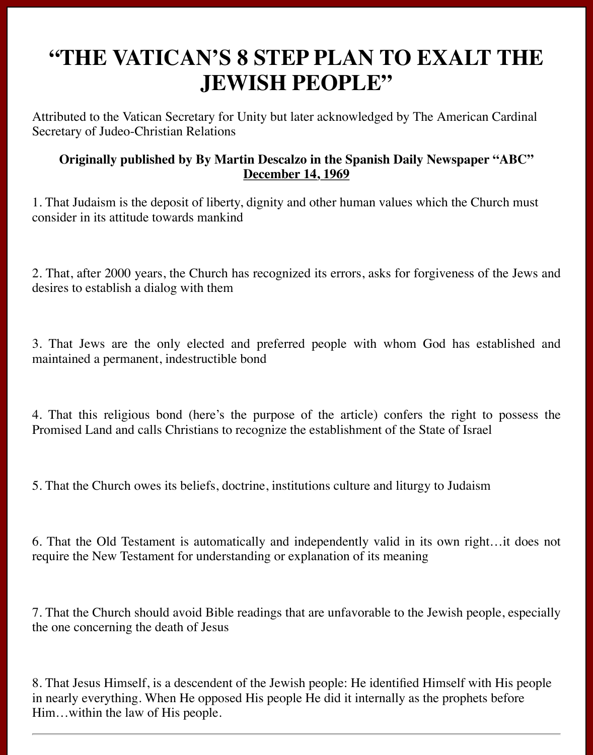## **"THE VATICAN'S 8 STEP PLAN TO EXALT THE JEWISH PEOPLE"**

Attributed to the Vatican Secretary for Unity but later acknowledged by The American Cardinal Secretary of Judeo-Christian Relations

## **Originally published by By Martin Descalzo in the Spanish Daily Newspaper "ABC" December 14, 1969**

1. That Judaism is the deposit of liberty, dignity and other human values which the Church must consider in its attitude towards mankind

2. That, after 2000 years, the Church has recognized its errors, asks for forgiveness of the Jews and desires to establish a dialog with them

3. That Jews are the only elected and preferred people with whom God has established and maintained a permanent, indestructible bond

4. That this religious bond (here's the purpose of the article) confers the right to possess the Promised Land and calls Christians to recognize the establishment of the State of Israel

5. That the Church owes its beliefs, doctrine, institutions culture and liturgy to Judaism

6. That the Old Testament is automatically and independently valid in its own right…it does not require the New Testament for understanding or explanation of its meaning

7. That the Church should avoid Bible readings that are unfavorable to the Jewish people, especially the one concerning the death of Jesus

8. That Jesus Himself, is a descendent of the Jewish people: He identified Himself with His people in nearly everything. When He opposed His people He did it internally as the prophets before Him…within the law of His people.